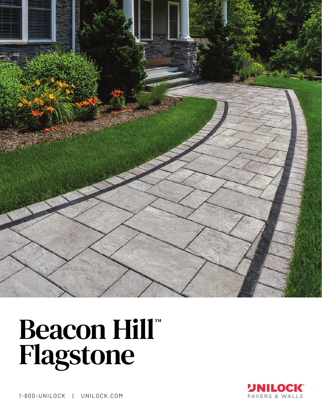

# Beacon Hill



1-800-UNILOCK | UNILOCK.COM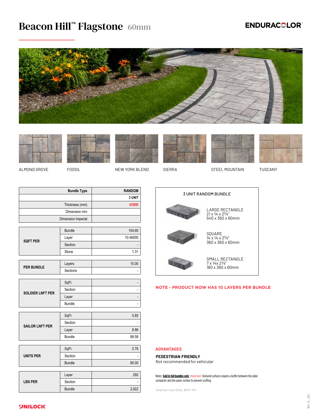## Beacon Hill™ Flagstone 60mm

### **ENDURACOLOR®**















ALMOND GROVE FOSSIL THE NEW YORK BLEND SIERRA STEEL MOUNTAIN TUSCANY

| <b>Bundle Type</b> | <b>RANDOM</b> |
|--------------------|---------------|
|                    | 3 UNIT        |
| Thickness (mm)     | 60MM          |
| Dimension mm       |               |
| Dimension Imperial |               |

| <b>SQFT PER</b> | <b>Bundle</b> | 104.60   |
|-----------------|---------------|----------|
|                 | Layer         | 10.46000 |
|                 | Section       | ۰        |
|                 | Stone         | 1.31     |

| <b>PER BUNDLE</b> | Layers   |      |
|-------------------|----------|------|
|                   | Sections | $\,$ |

|                         | SqFt    | -              |
|-------------------------|---------|----------------|
| <b>SOLDIER LNFT PER</b> | Section | $\overline{a}$ |
|                         | Layer   | -              |
|                         | Bundle  | $\overline{a}$ |

| <b>SAILOR LNFT PER</b> | SqFt          | 0.85  |
|------------------------|---------------|-------|
|                        | Section       | -     |
|                        | Layer         | 8.86  |
|                        | <b>Bundle</b> | 88.58 |

|                  | SqFt          | 0.76  |
|------------------|---------------|-------|
| <b>UNITS PER</b> | Section       |       |
|                  | <b>Bundle</b> | 80.00 |
|                  |               |       |
|                  | Layer         | 292   |
| <b>LBS PER</b>   | Section       |       |
|                  | <b>Bundle</b> | 2,922 |



#### **NOTE - PRODUCT NOW HAS 10 LAYERS PER BUNDLE**

#### **ADVANTAGES**

#### **PEDESTRIAN FRIENDLY**

Not recommended for vehicular

Notes: **Sold in full bundles only**. Important: Textured surfaces require a buffer between the plate compactor and the paver surface to prevent scuffing.

Internal Use Only. BHF NY